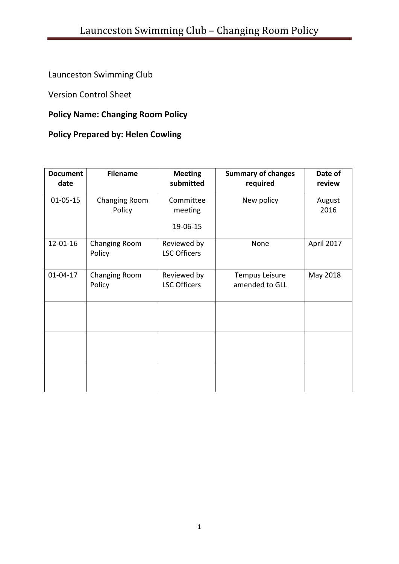Launceston Swimming Club

Version Control Sheet

## **Policy Name: Changing Room Policy**

## **Policy Prepared by: Helen Cowling**

| <b>Document</b><br>date | <b>Filename</b>                | <b>Meeting</b><br>submitted        | <b>Summary of changes</b><br>required | Date of<br>review |
|-------------------------|--------------------------------|------------------------------------|---------------------------------------|-------------------|
| $01 - 05 - 15$          | <b>Changing Room</b><br>Policy | Committee<br>meeting<br>19-06-15   | New policy                            | August<br>2016    |
| 12-01-16                | Changing Room<br>Policy        | Reviewed by<br><b>LSC Officers</b> | None                                  | April 2017        |
| $01 - 04 - 17$          | Changing Room<br>Policy        | Reviewed by<br><b>LSC Officers</b> | Tempus Leisure<br>amended to GLL      | May 2018          |
|                         |                                |                                    |                                       |                   |
|                         |                                |                                    |                                       |                   |
|                         |                                |                                    |                                       |                   |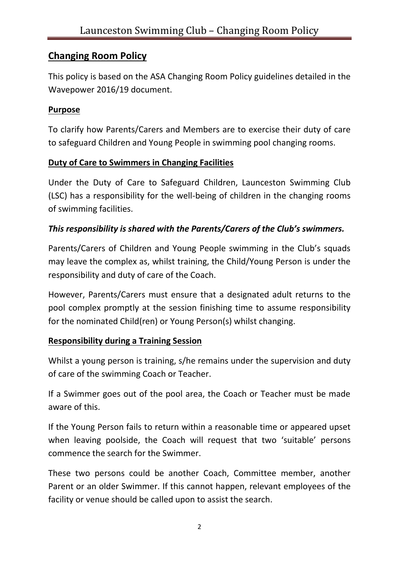# **Changing Room Policy**

This policy is based on the ASA Changing Room Policy guidelines detailed in the Wavepower 2016/19 document.

### **Purpose**

To clarify how Parents/Carers and Members are to exercise their duty of care to safeguard Children and Young People in swimming pool changing rooms.

# **Duty of Care to Swimmers in Changing Facilities**

Under the Duty of Care to Safeguard Children, Launceston Swimming Club (LSC) has a responsibility for the well-being of children in the changing rooms of swimming facilities.

### *This responsibility is shared with the Parents/Carers of the Club's swimmers.*

Parents/Carers of Children and Young People swimming in the Club's squads may leave the complex as, whilst training, the Child/Young Person is under the responsibility and duty of care of the Coach.

However, Parents/Carers must ensure that a designated adult returns to the pool complex promptly at the session finishing time to assume responsibility for the nominated Child(ren) or Young Person(s) whilst changing.

## **Responsibility during a Training Session**

Whilst a young person is training, s/he remains under the supervision and duty of care of the swimming Coach or Teacher.

If a Swimmer goes out of the pool area, the Coach or Teacher must be made aware of this.

If the Young Person fails to return within a reasonable time or appeared upset when leaving poolside, the Coach will request that two 'suitable' persons commence the search for the Swimmer.

These two persons could be another Coach, Committee member, another Parent or an older Swimmer. If this cannot happen, relevant employees of the facility or venue should be called upon to assist the search.